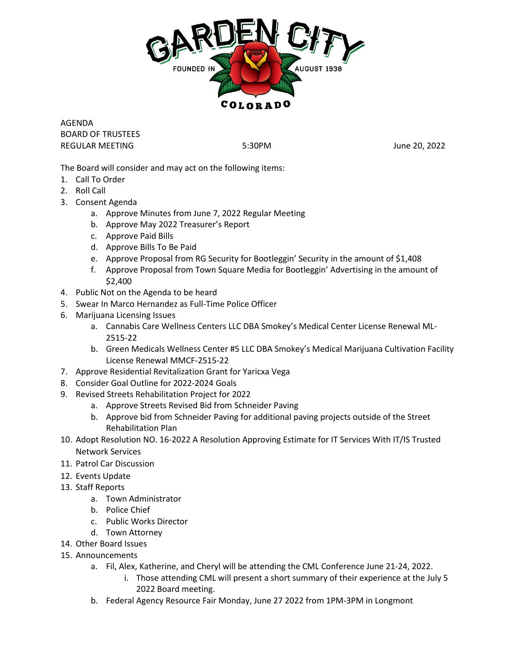

AGENDA BOARD OF TRUSTEES REGULAR MEETING **5:30PM** 5:30PM **June 20, 2022** 

The Board will consider and may act on the following items:

- 1. Call To Order
- 2. Roll Call
- 3. Consent Agenda
	- a. Approve Minutes from June 7, 2022 Regular Meeting
	- b. Approve May 2022 Treasurer's Report
	- c. Approve Paid Bills
	- d. Approve Bills To Be Paid
	- e. Approve Proposal from RG Security for Bootleggin' Security in the amount of \$1,408
	- f. Approve Proposal from Town Square Media for Bootleggin' Advertising in the amount of \$2,400
- 4. Public Not on the Agenda to be heard
- 5. Swear In Marco Hernandez as Full-Time Police Officer
- 6. Marijuana Licensing Issues
	- a. Cannabis Care Wellness Centers LLC DBA Smokey's Medical Center License Renewal ML-2515-22
	- b. Green Medicals Wellness Center #5 LLC DBA Smokey's Medical Marijuana Cultivation Facility License Renewal MMCF-2515-22
- 7. Approve Residential Revitalization Grant for Yaricxa Vega
- 8. Consider Goal Outline for 2022-2024 Goals
- 9. Revised Streets Rehabilitation Project for 2022
	- a. Approve Streets Revised Bid from Schneider Paving
	- b. Approve bid from Schneider Paving for additional paving projects outside of the Street Rehabilitation Plan
- 10. Adopt Resolution NO. 16-2022 A Resolution Approving Estimate for IT Services With IT/IS Trusted Network Services
- 11. Patrol Car Discussion
- 12. Events Update
- 13. Staff Reports
	- a. Town Administrator
	- b. Police Chief
	- c. Public Works Director
	- d. Town Attorney
- 14. Other Board Issues
- 15. Announcements
	- a. Fil, Alex, Katherine, and Cheryl will be attending the CML Conference June 21-24, 2022.
		- i. Those attending CML will present a short summary of their experience at the July 5 2022 Board meeting.
	- b. Federal Agency Resource Fair Monday, June 27 2022 from 1PM-3PM in Longmont